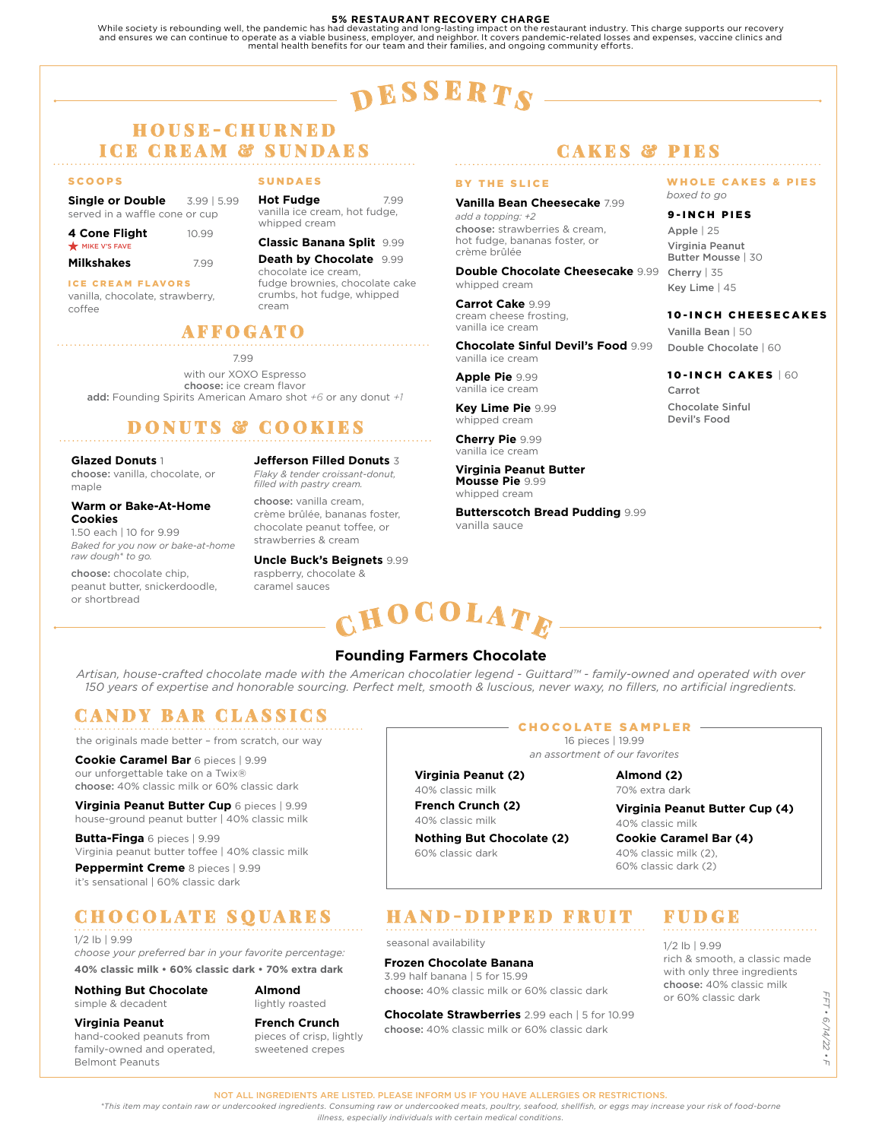#### **5% RESTAURANT RECOVERY CHARGE**

While society is rebounding well, the pandemic has had devastating and long-lasting impact on the restaurant industry. This charge supports our recovery<br>and ensures we can continue to operate as a viable business, employer

# $\mathbf{p}$  esserts

### H O U S E - C H U R N E D **ICE CREAM & SUNDAES**

#### **SCOOPS**

**Single or Double** 3.99 | 5.99 served in a waffle cone or cup

| 4 Cone Flight | 10.99 |
|---------------|-------|
| MIKE V'S FAVE |       |

| <b>Milkshakes</b> | 7.99 |
|-------------------|------|

ICE CREAM FLAVORS vanilla, chocolate, strawberry, coffee

SUNDAES

**Hot Fudge** 7.99 vanilla ice cream, hot fudge, whipped cream

#### **Classic Banana Split** 9.99

**Death by Chocolate** 9.99 chocolate ice cream, fudge brownies, chocolate cake crumbs, hot fudge, whipped cream

### AFFOGATO

7.99 with our XOXO Espresso choose: ice cream flavor add: Founding Spirits American Amaro shot *+6* or any donut *+1*

## DONUTS & COOKIES

#### **Glazed Donuts** 1

choose: vanilla, chocolate, or maple

#### **Warm or Bake-At-Home**

**Cookies**  1.50 each | 10 for 9.99 *Baked for you now or bake-at-home raw dough\* to go.*

choose: chocolate chip, peanut butter, snickerdoodle, or shortbread

**Jefferson Filled Donuts** 3

*Flaky & tender croissant-donut, filled with pastry cream.*  choose: vanilla cream, crème brûlée, bananas foster, chocolate peanut toffee, or

strawberries & cream **Uncle Buck's Beignets** 9.99 raspberry, chocolate & caramel sauces

### C ${\bf H0}$ COLAT $_{\bm F}$

### **Founding Farmers Chocolate**

*Artisan, house-crafted chocolate made with the American chocolatier legend - Guittard™ - family-owned and operated with over 150 years of expertise and honorable sourcing. Perfect melt, smooth & luscious, never waxy, no fillers, no artificial ingredients.*

### CANDY BAR CLASSICS

the originals made better – from scratch, our way

**Cookie Caramel Bar** 6 pieces | 9.99 our unforgettable take on a Twix® choose: 40% classic milk or 60% classic dark

**Virginia Peanut Butter Cup** 6 pieces | 9.99 house-ground peanut butter | 40% classic milk

**Butta-Finga** 6 pieces | 9.99 Virginia peanut butter toffee | 40% classic milk

**Peppermint Creme** 8 pieces | 9.99 it's sensational | 60% classic dark

## CHOCOLATE SQUARES

#### 1/2 lb | 9.99

*choose your preferred bar in your favorite percentage:* **40% classic milk • 60% classic dark • 70% extra dark**

#### **Almond**  lightly roasted

**Nothing But Chocolate** simple & decadent

**Virginia Peanut** hand-cooked peanuts from family-owned and operated, Belmont Peanuts

**French Crunch** pieces of crisp, lightly sweetened crepes

#### CHOCOLATE SAMPLER

*an assortment of our favorites*

## **Virginia Peanut (2)**

**Nothing But Chocolate (2)** 

60% classic dark

### 16 pieces | 19.99

70% extra dark

**Virginia Peanut Butter Cup (4)** 40% classic milk

40% classic milk (2), 60% classic dark (2)

### HAND-DIPPED FRUIT

seasonal availability

#### **Frozen Chocolate Banana**

3.99 half banana | 5 for 15.99 choose: 40% classic milk or 60% classic dark

**Chocolate Strawberries** 2.99 each | 5 for 10.99 choose: 40% classic milk or 60% classic dark

### CAKES & PIES

#### BY THE SLICE

**Vanilla Bean Cheesecake** 7.99 *add a topping: +2* choose: strawberries & cream, hot fudge, bananas foster, or crème brûlée

**Double Chocolate Cheesecake** 9.99 whipped cream

**Carrot Cake** 9.99 cream cheese frosting, vanilla ice cream

**Chocolate Sinful Devil's Food** 9.99 vanilla ice cream

**Apple Pie** 9.99 vanilla ice cream

**Key Lime Pie** 9.99 whipped cream

**Cherry Pie** 9.99 vanilla ice cream

**Virginia Peanut Butter Mousse Pie** 9.99 whipped cream

**Butterscotch Bread Pudding** 9.99 vanilla sauce

#### WHOLE CAKES & PIES *boxed to go*

#### 9-INCH PIES

Apple | 25 Virginia Peanut Butter Mousse | 30 Cherry | 35 Key Lime | 45

#### 10-INCH CHEESECAKES

Vanilla Bean | 50 Double Chocolate | 60

#### 10-INCH CAKES | 60

Carrot Chocolate Sinful Devil's Food

FUDGE

#### 1/2 lb | 9.99 rich & smooth, a classic made with only three ingredients choose: 40% classic milk or 60% classic dark

FFT . 6/14/22 . F  *FFT • 6/14/22 • F*

NOT ALL INGREDIENTS ARE LISTED. PLEASE INFORM US IF YOU HAVE ALLERGIES OR RESTRICTIONS.

40% classic milk **French Crunch (2)**

40% classic milk

**Almond (2)**

**Cookie Caramel Bar (4)**

*\*This item may contain raw or undercooked ingredients. Consuming raw or undercooked meats, poultry, seafood, shellfish, or eggs may increase your risk of food-borne* 

*illness, especially individuals with certain medical conditions.*